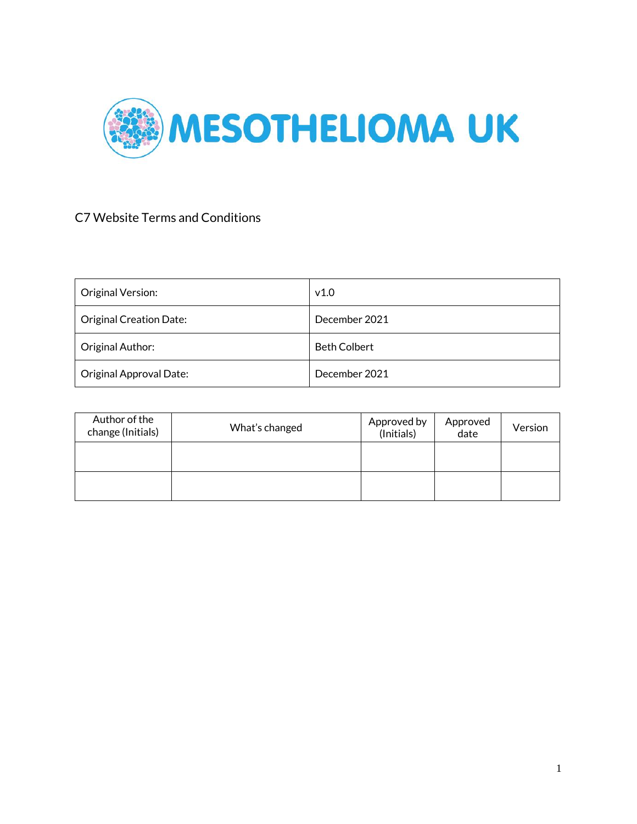

### C7 Website Terms and Conditions

| Original Version:              | v1.0                |
|--------------------------------|---------------------|
| <b>Original Creation Date:</b> | December 2021       |
| Original Author:               | <b>Beth Colbert</b> |
| Original Approval Date:        | December 2021       |

| Author of the<br>change (Initials) | What's changed | Approved by<br>(Initials) | Approved<br>date | Version |
|------------------------------------|----------------|---------------------------|------------------|---------|
|                                    |                |                           |                  |         |
|                                    |                |                           |                  |         |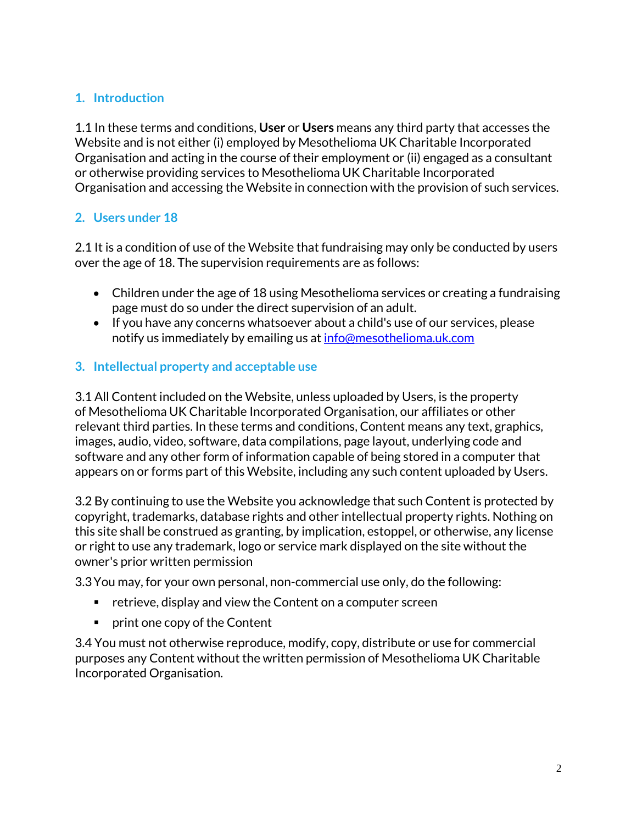### **1. Introduction**

1.1 In these terms and conditions, **User** or **Users** means any third party that accesses the Website and is not either (i) employed by Mesothelioma UK Charitable Incorporated Organisation and acting in the course of their employment or (ii) engaged as a consultant or otherwise providing services to Mesothelioma UK Charitable Incorporated Organisation and accessing the Website in connection with the provision of such services.

### **2. Users under 18**

2.1 It is a condition of use of the Website that fundraising may only be conducted by users over the age of 18. The supervision requirements are as follows:

- Children under the age of 18 using Mesothelioma services or creating a fundraising page must do so under the direct supervision of an adult.
- If you have any concerns whatsoever about a child's use of our services, please notify us immediately by emailing us at [info@mesothelioma.uk.com](mailto:info@mesothelioma.uk.com)

### **3. Intellectual property and acceptable use**

3.1 All Content included on the Website, unless uploaded by Users, is the property of Mesothelioma UK Charitable Incorporated Organisation, our affiliates or other relevant third parties. In these terms and conditions, Content means any text, graphics, images, audio, video, software, data compilations, page layout, underlying code and software and any other form of information capable of being stored in a computer that appears on or forms part of this Website, including any such content uploaded by Users.

3.2 By continuing to use the Website you acknowledge that such Content is protected by copyright, trademarks, database rights and other intellectual property rights. Nothing on this site shall be construed as granting, by implication, estoppel, or otherwise, any license or right to use any trademark, logo or service mark displayed on the site without the owner's prior written permission

3.3You may, for your own personal, non-commercial use only, do the following:

- retrieve, display and view the Content on a computer screen
- print one copy of the Content

3.4 You must not otherwise reproduce, modify, copy, distribute or use for commercial purposes any Content without the written permission of Mesothelioma UK Charitable Incorporated Organisation.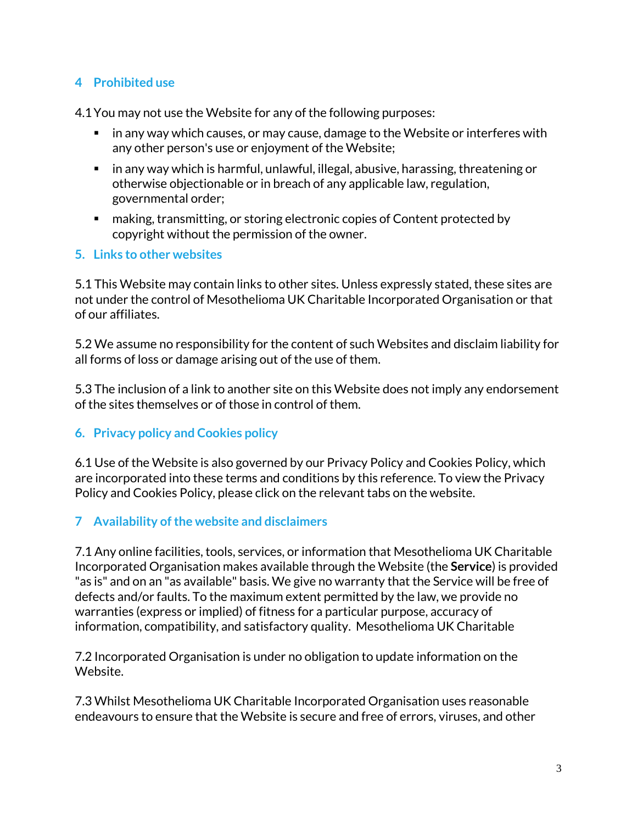### **4 Prohibited use**

4.1You may not use the Website for any of the following purposes:

- in any way which causes, or may cause, damage to the Website or interferes with any other person's use or enjoyment of the Website;
- $\blacksquare$  in any way which is harmful, unlawful, illegal, abusive, harassing, threatening or otherwise objectionable or in breach of any applicable law, regulation, governmental order;
- making, transmitting, or storing electronic copies of Content protected by copyright without the permission of the owner.

#### **5. Links to other websites**

5.1 This Website may contain links to other sites. Unless expressly stated, these sites are not under the control of Mesothelioma UK Charitable Incorporated Organisation or that of our affiliates.

5.2 We assume no responsibility for the content of such Websites and disclaim liability for all forms of loss or damage arising out of the use of them.

5.3 The inclusion of a link to another site on this Website does not imply any endorsement of the sites themselves or of those in control of them.

### **6. Privacy policy and Cookies policy**

6.1 Use of the Website is also governed by our Privacy Policy and Cookies Policy, which are incorporated into these terms and conditions by this reference. To view the Privacy Policy and Cookies Policy, please click on the relevant tabs on the website.

### **7 Availability of the website and disclaimers**

7.1 Any online facilities, tools, services, or information that Mesothelioma UK Charitable Incorporated Organisation makes available through the Website (the **Service**) is provided "as is" and on an "as available" basis. We give no warranty that the Service will be free of defects and/or faults. To the maximum extent permitted by the law, we provide no warranties (express or implied) of fitness for a particular purpose, accuracy of information, compatibility, and satisfactory quality. Mesothelioma UK Charitable

7.2 Incorporated Organisation is under no obligation to update information on the Website.

7.3 Whilst Mesothelioma UK Charitable Incorporated Organisation uses reasonable endeavours to ensure that the Website is secure and free of errors, viruses, and other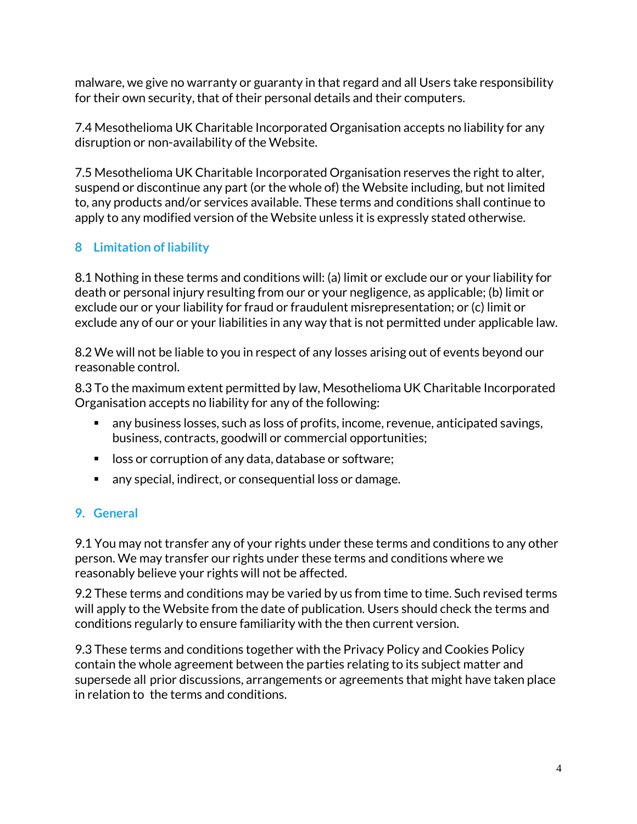malware, we give no warranty or guaranty in that regard and all Users take responsibility for their own security, that of their personal details and their computers.

7.4 Mesothelioma UK Charitable Incorporated Organisation accepts no liability for any disruption or non-availability of the Website.

7.5 Mesothelioma UK Charitable Incorporated Organisation reserves the right to alter, suspend or discontinue any part (or the whole of) the Website including, but not limited to, any products and/or services available. These terms and conditions shall continue to apply to any modified version of the Website unless it is expressly stated otherwise.

# **8 Limitation of liability**

8.1 Nothing in these terms and conditions will: (a) limit or exclude our or your liability for death or personal injury resulting from our or your negligence, as applicable; (b) limit or exclude our or your liability for fraud or fraudulent misrepresentation; or (c) limit or exclude any of our or your liabilities in any way that is not permitted under applicable law.

8.2 We will not be liable to you in respect of any losses arising out of events beyond our reasonable control.

8.3 To the maximum extent permitted by law, Mesothelioma UK Charitable Incorporated Organisation accepts no liability for any of the following:

- any business losses, such as loss of profits, income, revenue, anticipated savings, business, contracts, goodwill or commercial opportunities;
- loss or corruption of any data, database or software;
- any special, indirect, or consequential loss or damage.

# **9. General**

9.1 You may not transfer any of your rights under these terms and conditions to any other person. We may transfer our rights under these terms and conditions where we reasonably believe your rights will not be affected.

9.2 These terms and conditions may be varied by us from time to time. Such revised terms will apply to the Website from the date of publication. Users should check the terms and conditions regularly to ensure familiarity with the then current version.

9.3 These terms and conditions together with the Privacy Policy and Cookies Policy contain the whole agreement between the parties relating to its subject matter and supersede all prior discussions, arrangements or agreements that might have taken place in relation to the terms and conditions.